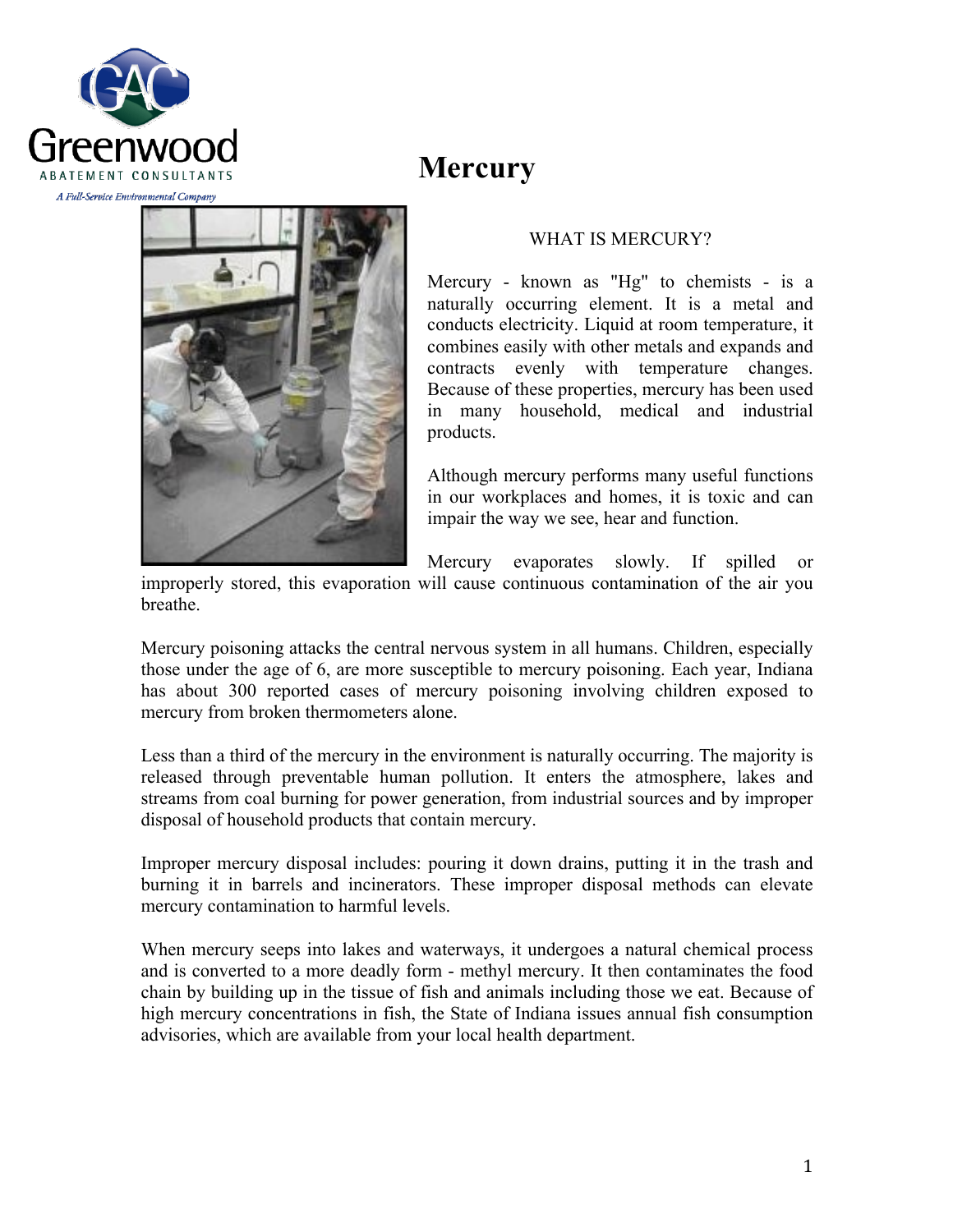

# **Mercury**



### WHAT IS MERCURY?

Mercury - known as "Hg" to chemists - is a naturally occurring element. It is a metal and conducts electricity. Liquid at room temperature, it combines easily with other metals and expands and contracts evenly with temperature changes. Because of these properties, mercury has been used in many household, medical and industrial products.

Although mercury performs many useful functions in our workplaces and homes, it is toxic and can impair the way we see, hear and function.

Mercury evaporates slowly. If spilled or

improperly stored, this evaporation will cause continuous contamination of the air you breathe.

Mercury poisoning attacks the central nervous system in all humans. Children, especially those under the age of 6, are more susceptible to mercury poisoning. Each year, Indiana has about 300 reported cases of mercury poisoning involving children exposed to mercury from broken thermometers alone.

Less than a third of the mercury in the environment is naturally occurring. The majority is released through preventable human pollution. It enters the atmosphere, lakes and streams from coal burning for power generation, from industrial sources and by improper disposal of household products that contain mercury.

Improper mercury disposal includes: pouring it down drains, putting it in the trash and burning it in barrels and incinerators. These improper disposal methods can elevate mercury contamination to harmful levels.

When mercury seeps into lakes and waterways, it undergoes a natural chemical process and is converted to a more deadly form - methyl mercury. It then contaminates the food chain by building up in the tissue of fish and animals including those we eat. Because of high mercury concentrations in fish, the State of Indiana issues annual fish consumption advisories, which are available from your local health department.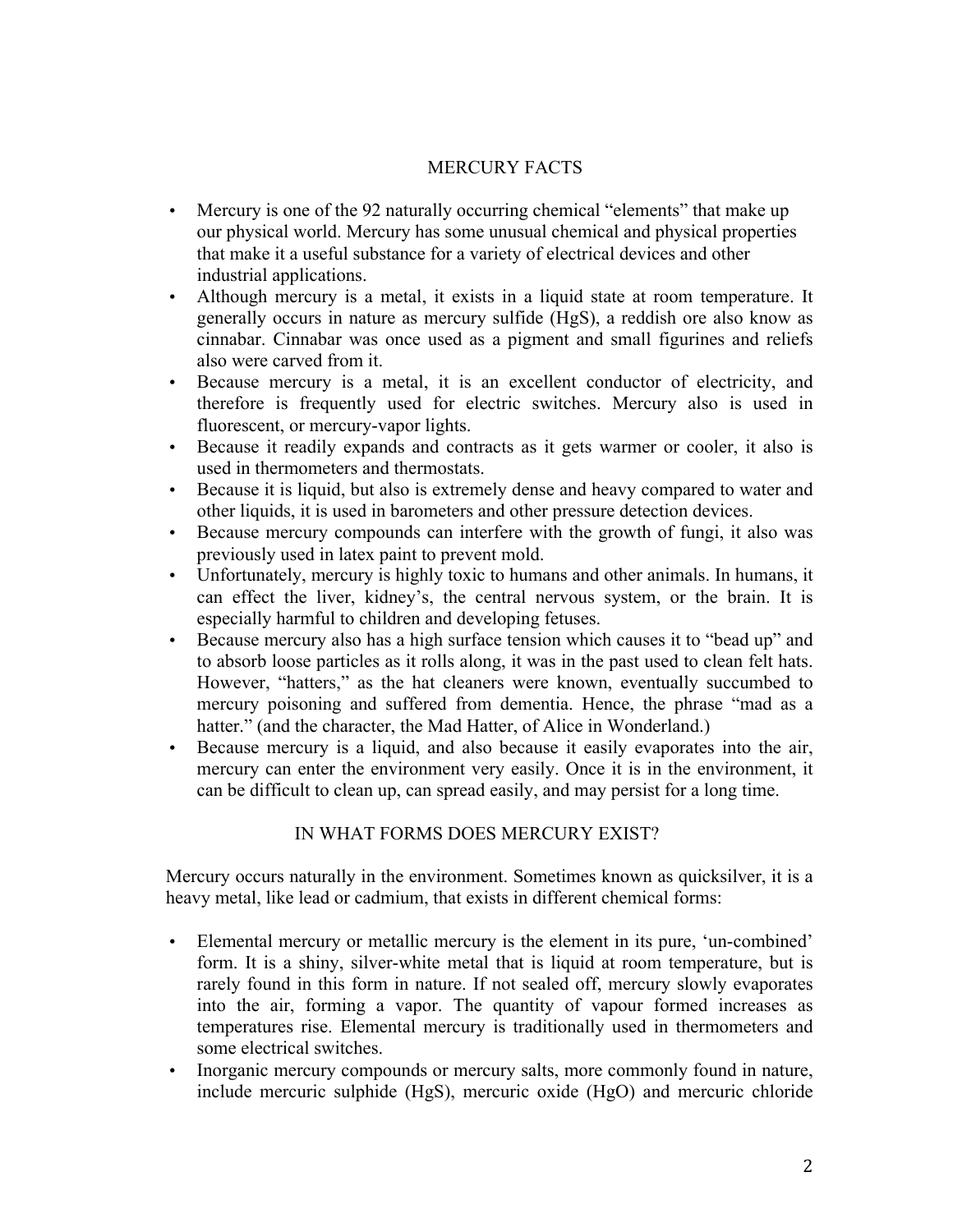# MERCURY FACTS

- Mercury is one of the 92 naturally occurring chemical "elements" that make up our physical world. Mercury has some unusual chemical and physical properties that make it a useful substance for a variety of electrical devices and other industrial applications.
- Although mercury is a metal, it exists in a liquid state at room temperature. It generally occurs in nature as mercury sulfide (HgS), a reddish ore also know as cinnabar. Cinnabar was once used as a pigment and small figurines and reliefs also were carved from it.
- Because mercury is a metal, it is an excellent conductor of electricity, and therefore is frequently used for electric switches. Mercury also is used in fluorescent, or mercury-vapor lights.
- Because it readily expands and contracts as it gets warmer or cooler, it also is used in thermometers and thermostats.
- Because it is liquid, but also is extremely dense and heavy compared to water and other liquids, it is used in barometers and other pressure detection devices.
- Because mercury compounds can interfere with the growth of fungi, it also was previously used in latex paint to prevent mold.
- Unfortunately, mercury is highly toxic to humans and other animals. In humans, it can effect the liver, kidney's, the central nervous system, or the brain. It is especially harmful to children and developing fetuses.
- Because mercury also has a high surface tension which causes it to "bead up" and to absorb loose particles as it rolls along, it was in the past used to clean felt hats. However, "hatters," as the hat cleaners were known, eventually succumbed to mercury poisoning and suffered from dementia. Hence, the phrase "mad as a hatter." (and the character, the Mad Hatter, of Alice in Wonderland.)
- Because mercury is a liquid, and also because it easily evaporates into the air, mercury can enter the environment very easily. Once it is in the environment, it can be difficult to clean up, can spread easily, and may persist for a long time.

# IN WHAT FORMS DOES MERCURY EXIST?

Mercury occurs naturally in the environment. Sometimes known as quicksilver, it is a heavy metal, like lead or cadmium, that exists in different chemical forms:

- Elemental mercury or metallic mercury is the element in its pure, 'un-combined' form. It is a shiny, silver-white metal that is liquid at room temperature, but is rarely found in this form in nature. If not sealed off, mercury slowly evaporates into the air, forming a vapor. The quantity of vapour formed increases as temperatures rise. Elemental mercury is traditionally used in thermometers and some electrical switches.
- Inorganic mercury compounds or mercury salts, more commonly found in nature, include mercuric sulphide (HgS), mercuric oxide (HgO) and mercuric chloride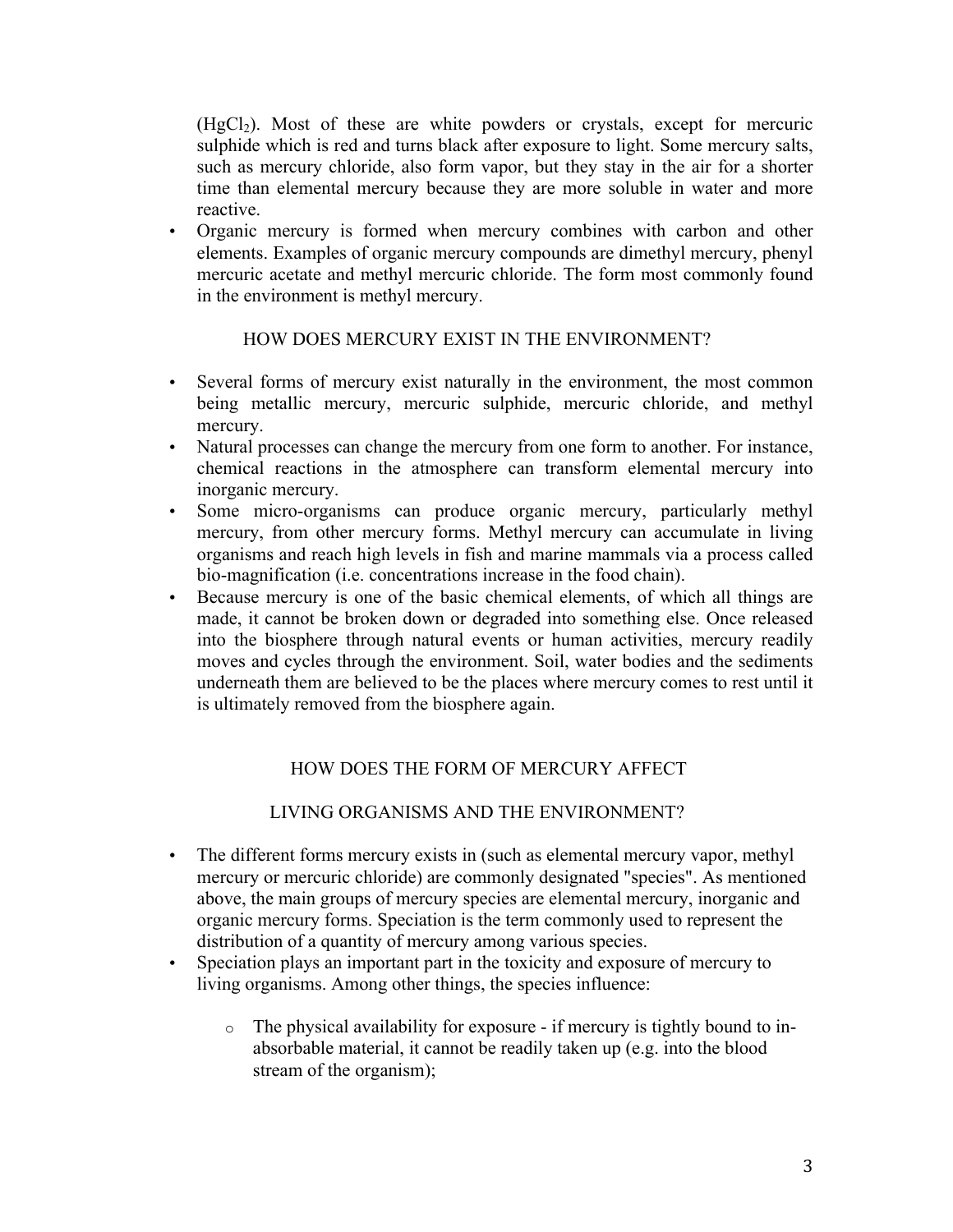$(HgCl<sub>2</sub>)$ . Most of these are white powders or crystals, except for mercuric sulphide which is red and turns black after exposure to light. Some mercury salts, such as mercury chloride, also form vapor, but they stay in the air for a shorter time than elemental mercury because they are more soluble in water and more reactive.

• Organic mercury is formed when mercury combines with carbon and other elements. Examples of organic mercury compounds are dimethyl mercury, phenyl mercuric acetate and methyl mercuric chloride. The form most commonly found in the environment is methyl mercury.

#### HOW DOES MERCURY EXIST IN THE ENVIRONMENT?

- Several forms of mercury exist naturally in the environment, the most common being metallic mercury, mercuric sulphide, mercuric chloride, and methyl mercury.
- Natural processes can change the mercury from one form to another. For instance, chemical reactions in the atmosphere can transform elemental mercury into inorganic mercury.
- Some micro-organisms can produce organic mercury, particularly methyl mercury, from other mercury forms. Methyl mercury can accumulate in living organisms and reach high levels in fish and marine mammals via a process called bio-magnification (i.e. concentrations increase in the food chain).
- Because mercury is one of the basic chemical elements, of which all things are made, it cannot be broken down or degraded into something else. Once released into the biosphere through natural events or human activities, mercury readily moves and cycles through the environment. Soil, water bodies and the sediments underneath them are believed to be the places where mercury comes to rest until it is ultimately removed from the biosphere again.

# HOW DOES THE FORM OF MERCURY AFFECT

# LIVING ORGANISMS AND THE ENVIRONMENT?

- The different forms mercury exists in (such as elemental mercury vapor, methyl mercury or mercuric chloride) are commonly designated "species". As mentioned above, the main groups of mercury species are elemental mercury, inorganic and organic mercury forms. Speciation is the term commonly used to represent the distribution of a quantity of mercury among various species.
- Speciation plays an important part in the toxicity and exposure of mercury to living organisms. Among other things, the species influence:
	- o The physical availability for exposure if mercury is tightly bound to inabsorbable material, it cannot be readily taken up (e.g. into the blood stream of the organism);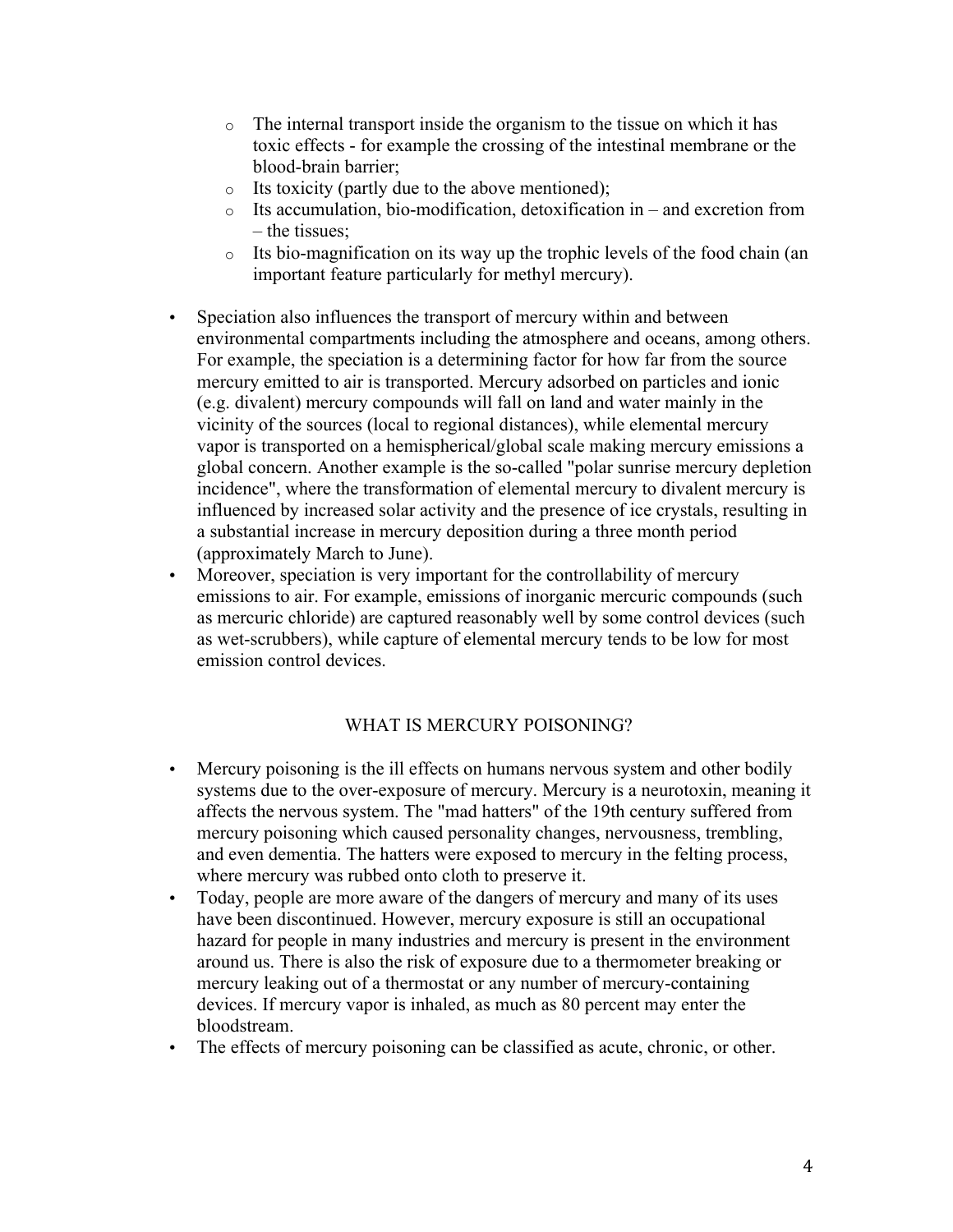- o The internal transport inside the organism to the tissue on which it has toxic effects - for example the crossing of the intestinal membrane or the blood-brain barrier;
- o Its toxicity (partly due to the above mentioned);
- o Its accumulation, bio-modification, detoxification in and excretion from – the tissues;
- o Its bio-magnification on its way up the trophic levels of the food chain (an important feature particularly for methyl mercury).
- Speciation also influences the transport of mercury within and between environmental compartments including the atmosphere and oceans, among others. For example, the speciation is a determining factor for how far from the source mercury emitted to air is transported. Mercury adsorbed on particles and ionic (e.g. divalent) mercury compounds will fall on land and water mainly in the vicinity of the sources (local to regional distances), while elemental mercury vapor is transported on a hemispherical/global scale making mercury emissions a global concern. Another example is the so-called "polar sunrise mercury depletion incidence", where the transformation of elemental mercury to divalent mercury is influenced by increased solar activity and the presence of ice crystals, resulting in a substantial increase in mercury deposition during a three month period (approximately March to June).
- Moreover, speciation is very important for the controllability of mercury emissions to air. For example, emissions of inorganic mercuric compounds (such as mercuric chloride) are captured reasonably well by some control devices (such as wet-scrubbers), while capture of elemental mercury tends to be low for most emission control devices.

#### WHAT IS MERCURY POISONING?

- Mercury poisoning is the ill effects on humans nervous system and other bodily systems due to the over-exposure of mercury. Mercury is a neurotoxin, meaning it affects the nervous system. The "mad hatters" of the 19th century suffered from mercury poisoning which caused personality changes, nervousness, trembling, and even dementia. The hatters were exposed to mercury in the felting process, where mercury was rubbed onto cloth to preserve it.
- Today, people are more aware of the dangers of mercury and many of its uses have been discontinued. However, mercury exposure is still an occupational hazard for people in many industries and mercury is present in the environment around us. There is also the risk of exposure due to a thermometer breaking or mercury leaking out of a thermostat or any number of mercury-containing devices. If mercury vapor is inhaled, as much as 80 percent may enter the bloodstream.
- The effects of mercury poisoning can be classified as acute, chronic, or other.